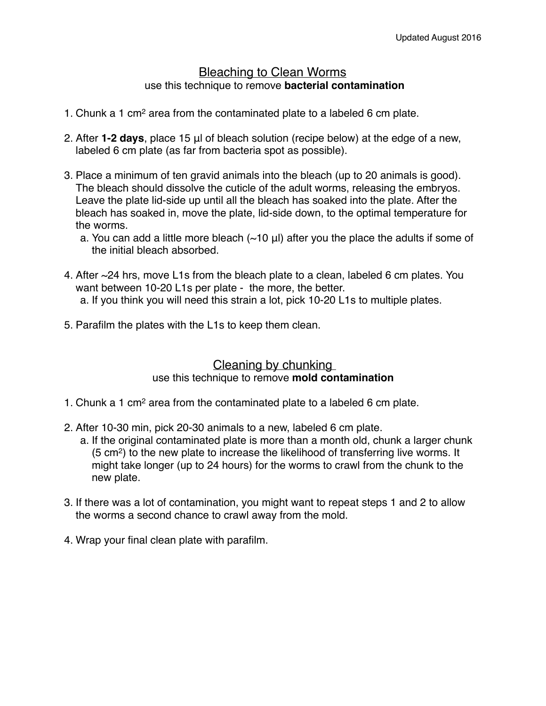## Bleaching to Clean Worms use this technique to remove **bacterial contamination**

- 1. Chunk a 1 cm2 area from the contaminated plate to a labeled 6 cm plate.
- 2. After **1-2 days**, place 15 μl of bleach solution (recipe below) at the edge of a new, labeled 6 cm plate (as far from bacteria spot as possible).
- 3. Place a minimum of ten gravid animals into the bleach (up to 20 animals is good). The bleach should dissolve the cuticle of the adult worms, releasing the embryos. Leave the plate lid-side up until all the bleach has soaked into the plate. After the bleach has soaked in, move the plate, lid-side down, to the optimal temperature for the worms.
	- a. You can add a little more bleach  $(\sim10 \text{ µ})$  after you the place the adults if some of the initial bleach absorbed.
- 4. After ~24 hrs, move L1s from the bleach plate to a clean, labeled 6 cm plates. You want between 10-20 L1s per plate - the more, the better. a. If you think you will need this strain a lot, pick 10-20 L1s to multiple plates.
- 5. Parafilm the plates with the L1s to keep them clean.

## Cleaning by chunking

## use this technique to remove **mold contamination**

- 1. Chunk a 1 cm2 area from the contaminated plate to a labeled 6 cm plate.
- 2. After 10-30 min, pick 20-30 animals to a new, labeled 6 cm plate.
	- a. If the original contaminated plate is more than a month old, chunk a larger chunk (5 cm2) to the new plate to increase the likelihood of transferring live worms. It might take longer (up to 24 hours) for the worms to crawl from the chunk to the new plate.
- 3. If there was a lot of contamination, you might want to repeat steps 1 and 2 to allow the worms a second chance to crawl away from the mold.
- 4. Wrap your final clean plate with parafilm.